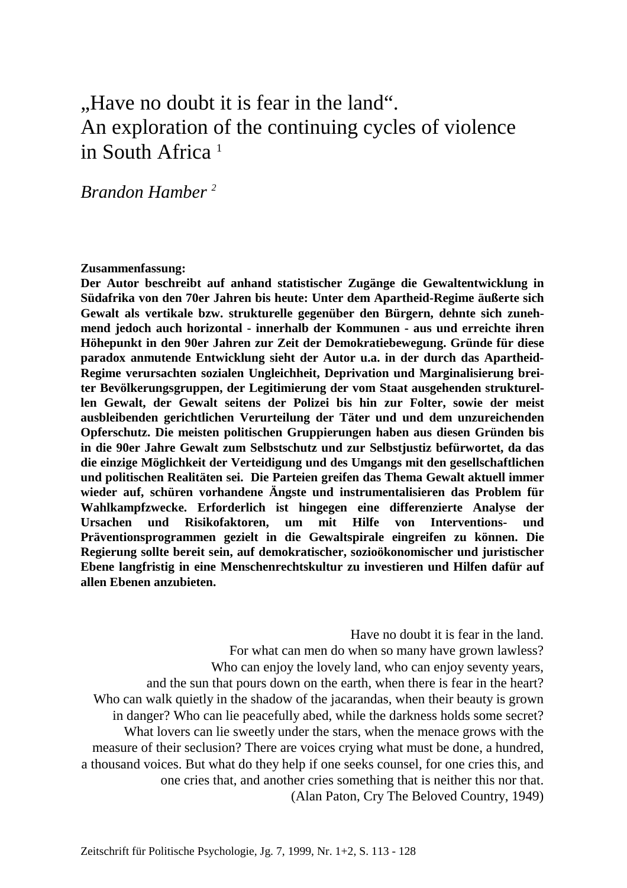# "Have no doubt it is fear in the land". An exploration of the continuing cycles of violence in South Africa<sup>1</sup>

*Brandon Hamber 2*

#### **Zusammenfassung:**

**Der Autor beschreibt auf anhand statistischer Zugänge die Gewaltentwicklung in Südafrika von den 70er Jahren bis heute: Unter dem Apartheid-Regime äußerte sich Gewalt als vertikale bzw. strukturelle gegenüber den Bürgern, dehnte sich zunehmend jedoch auch horizontal - innerhalb der Kommunen - aus und erreichte ihren Höhepunkt in den 90er Jahren zur Zeit der Demokratiebewegung. Gründe für diese paradox anmutende Entwicklung sieht der Autor u.a. in der durch das Apartheid-Regime verursachten sozialen Ungleichheit, Deprivation und Marginalisierung breiter Bevölkerungsgruppen, der Legitimierung der vom Staat ausgehenden strukturellen Gewalt, der Gewalt seitens der Polizei bis hin zur Folter, sowie der meist ausbleibenden gerichtlichen Verurteilung der Täter und und dem unzureichenden Opferschutz. Die meisten politischen Gruppierungen haben aus diesen Gründen bis in die 90er Jahre Gewalt zum Selbstschutz und zur Selbstjustiz befürwortet, da das die einzige Möglichkeit der Verteidigung und des Umgangs mit den gesellschaftlichen und politischen Realitäten sei. Die Parteien greifen das Thema Gewalt aktuell immer wieder auf, schüren vorhandene Ängste und instrumentalisieren das Problem für Wahlkampfzwecke. Erforderlich ist hingegen eine differenzierte Analyse der Ursachen und Risikofaktoren, um mit Hilfe von Interventions- und Präventionsprogrammen gezielt in die Gewaltspirale eingreifen zu können. Die Regierung sollte bereit sein, auf demokratischer, sozioökonomischer und juristischer Ebene langfristig in eine Menschenrechtskultur zu investieren und Hilfen dafür auf allen Ebenen anzubieten.** 

Have no doubt it is fear in the land. For what can men do when so many have grown lawless? Who can enjoy the lovely land, who can enjoy seventy years, and the sun that pours down on the earth, when there is fear in the heart? Who can walk quietly in the shadow of the jacarandas, when their beauty is grown in danger? Who can lie peacefully abed, while the darkness holds some secret? What lovers can lie sweetly under the stars, when the menace grows with the measure of their seclusion? There are voices crying what must be done, a hundred, a thousand voices. But what do they help if one seeks counsel, for one cries this, and one cries that, and another cries something that is neither this nor that. (Alan Paton, Cry The Beloved Country, 1949)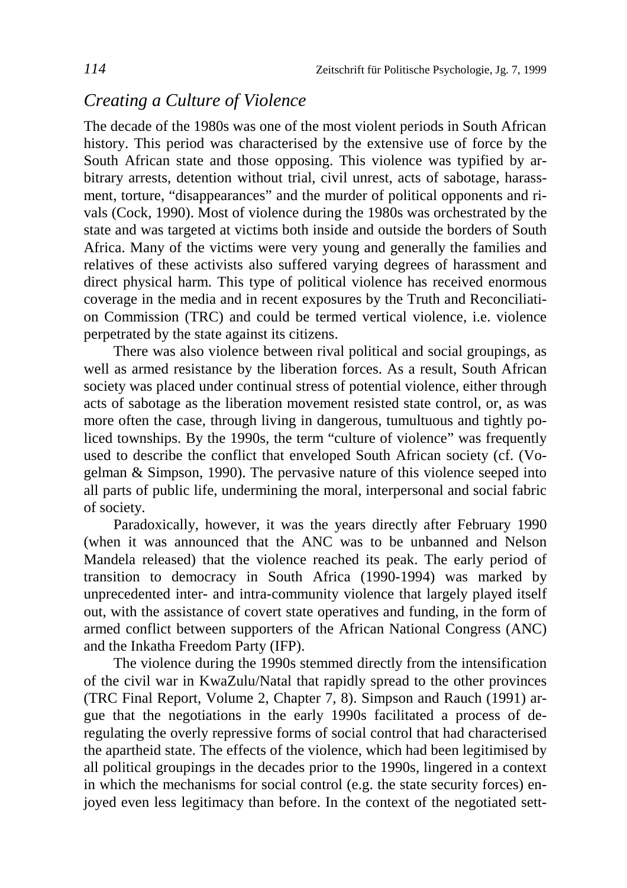# *Creating a Culture of Violence*

The decade of the 1980s was one of the most violent periods in South African history. This period was characterised by the extensive use of force by the South African state and those opposing. This violence was typified by arbitrary arrests, detention without trial, civil unrest, acts of sabotage, harassment, torture, "disappearances" and the murder of political opponents and rivals (Cock, 1990). Most of violence during the 1980s was orchestrated by the state and was targeted at victims both inside and outside the borders of South Africa. Many of the victims were very young and generally the families and relatives of these activists also suffered varying degrees of harassment and direct physical harm. This type of political violence has received enormous coverage in the media and in recent exposures by the Truth and Reconciliation Commission (TRC) and could be termed vertical violence, i.e. violence perpetrated by the state against its citizens.

There was also violence between rival political and social groupings, as well as armed resistance by the liberation forces. As a result, South African society was placed under continual stress of potential violence, either through acts of sabotage as the liberation movement resisted state control, or, as was more often the case, through living in dangerous, tumultuous and tightly policed townships. By the 1990s, the term "culture of violence" was frequently used to describe the conflict that enveloped South African society (cf. (Vogelman & Simpson, 1990). The pervasive nature of this violence seeped into all parts of public life, undermining the moral, interpersonal and social fabric of society.

Paradoxically, however, it was the years directly after February 1990 (when it was announced that the ANC was to be unbanned and Nelson Mandela released) that the violence reached its peak. The early period of transition to democracy in South Africa (1990-1994) was marked by unprecedented inter- and intra-community violence that largely played itself out, with the assistance of covert state operatives and funding, in the form of armed conflict between supporters of the African National Congress (ANC) and the Inkatha Freedom Party (IFP).

The violence during the 1990s stemmed directly from the intensification of the civil war in KwaZulu/Natal that rapidly spread to the other provinces (TRC Final Report, Volume 2, Chapter 7, 8). Simpson and Rauch (1991) argue that the negotiations in the early 1990s facilitated a process of deregulating the overly repressive forms of social control that had characterised the apartheid state. The effects of the violence, which had been legitimised by all political groupings in the decades prior to the 1990s, lingered in a context in which the mechanisms for social control (e.g. the state security forces) enjoyed even less legitimacy than before. In the context of the negotiated sett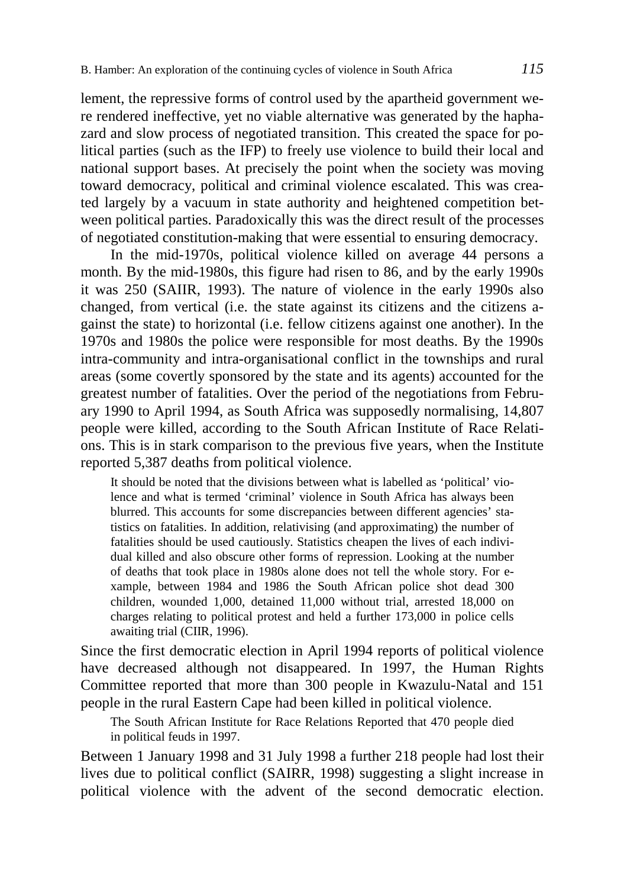lement, the repressive forms of control used by the apartheid government were rendered ineffective, yet no viable alternative was generated by the haphazard and slow process of negotiated transition. This created the space for political parties (such as the IFP) to freely use violence to build their local and national support bases. At precisely the point when the society was moving toward democracy, political and criminal violence escalated. This was created largely by a vacuum in state authority and heightened competition between political parties. Paradoxically this was the direct result of the processes of negotiated constitution-making that were essential to ensuring democracy.

In the mid-1970s, political violence killed on average 44 persons a month. By the mid-1980s, this figure had risen to 86, and by the early 1990s it was 250 (SAIIR, 1993). The nature of violence in the early 1990s also changed, from vertical (i.e. the state against its citizens and the citizens against the state) to horizontal (i.e. fellow citizens against one another). In the 1970s and 1980s the police were responsible for most deaths. By the 1990s intra-community and intra-organisational conflict in the townships and rural areas (some covertly sponsored by the state and its agents) accounted for the greatest number of fatalities. Over the period of the negotiations from February 1990 to April 1994, as South Africa was supposedly normalising, 14,807 people were killed, according to the South African Institute of Race Relations. This is in stark comparison to the previous five years, when the Institute reported 5,387 deaths from political violence.

It should be noted that the divisions between what is labelled as 'political' violence and what is termed 'criminal' violence in South Africa has always been blurred. This accounts for some discrepancies between different agencies' statistics on fatalities. In addition, relativising (and approximating) the number of fatalities should be used cautiously. Statistics cheapen the lives of each individual killed and also obscure other forms of repression. Looking at the number of deaths that took place in 1980s alone does not tell the whole story. For example, between 1984 and 1986 the South African police shot dead 300 children, wounded 1,000, detained 11,000 without trial, arrested 18,000 on charges relating to political protest and held a further 173,000 in police cells awaiting trial (CIIR, 1996).

Since the first democratic election in April 1994 reports of political violence have decreased although not disappeared. In 1997, the Human Rights Committee reported that more than 300 people in Kwazulu-Natal and 151 people in the rural Eastern Cape had been killed in political violence.

The South African Institute for Race Relations Reported that 470 people died in political feuds in 1997.

Between 1 January 1998 and 31 July 1998 a further 218 people had lost their lives due to political conflict (SAIRR, 1998) suggesting a slight increase in political violence with the advent of the second democratic election.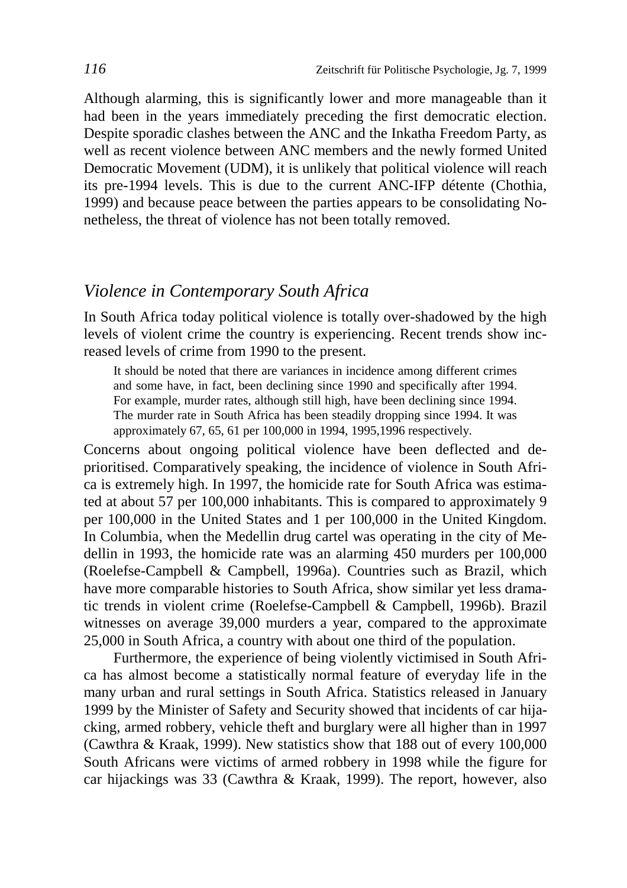Although alarming, this is significantly lower and more manageable than it had been in the years immediately preceding the first democratic election. Despite sporadic clashes between the ANC and the Inkatha Freedom Party, as well as recent violence between ANC members and the newly formed United Democratic Movement (UDM), it is unlikely that political violence will reach its pre-1994 levels. This is due to the current ANC-IFP détente (Chothia, 1999) and because peace between the parties appears to be consolidating Nonetheless, the threat of violence has not been totally removed.

### *Violence in Contemporary South Africa*

In South Africa today political violence is totally over-shadowed by the high levels of violent crime the country is experiencing. Recent trends show increased levels of crime from 1990 to the present.

It should be noted that there are variances in incidence among different crimes and some have, in fact, been declining since 1990 and specifically after 1994. For example, murder rates, although still high, have been declining since 1994. The murder rate in South Africa has been steadily dropping since 1994. It was approximately 67, 65, 61 per 100,000 in 1994, 1995,1996 respectively.

Concerns about ongoing political violence have been deflected and deprioritised. Comparatively speaking, the incidence of violence in South Africa is extremely high. In 1997, the homicide rate for South Africa was estimated at about 57 per 100,000 inhabitants. This is compared to approximately 9 per 100,000 in the United States and 1 per 100,000 in the United Kingdom. In Columbia, when the Medellin drug cartel was operating in the city of Medellin in 1993, the homicide rate was an alarming 450 murders per 100,000 (Roelefse-Campbell & Campbell, 1996a). Countries such as Brazil, which have more comparable histories to South Africa, show similar yet less dramatic trends in violent crime (Roelefse-Campbell & Campbell, 1996b). Brazil witnesses on average 39,000 murders a year, compared to the approximate 25,000 in South Africa, a country with about one third of the population.

Furthermore, the experience of being violently victimised in South Africa has almost become a statistically normal feature of everyday life in the many urban and rural settings in South Africa. Statistics released in January 1999 by the Minister of Safety and Security showed that incidents of car hijacking, armed robbery, vehicle theft and burglary were all higher than in 1997 (Cawthra & Kraak, 1999). New statistics show that 188 out of every 100,000 South Africans were victims of armed robbery in 1998 while the figure for car hijackings was 33 (Cawthra & Kraak, 1999). The report, however, also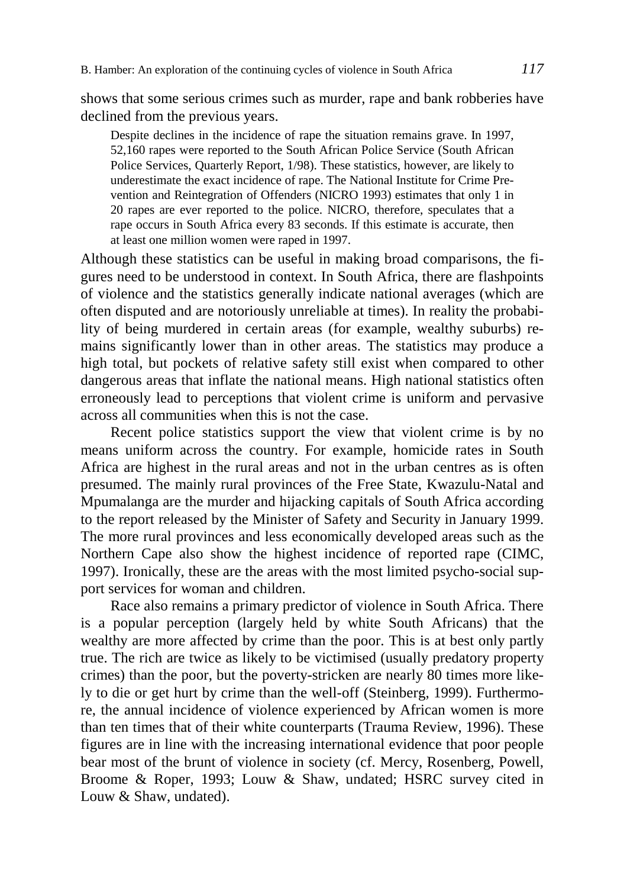shows that some serious crimes such as murder, rape and bank robberies have declined from the previous years.

Despite declines in the incidence of rape the situation remains grave. In 1997, 52,160 rapes were reported to the South African Police Service (South African Police Services, Quarterly Report, 1/98). These statistics, however, are likely to underestimate the exact incidence of rape. The National Institute for Crime Prevention and Reintegration of Offenders (NICRO 1993) estimates that only 1 in 20 rapes are ever reported to the police. NICRO, therefore, speculates that a rape occurs in South Africa every 83 seconds. If this estimate is accurate, then at least one million women were raped in 1997.

Although these statistics can be useful in making broad comparisons, the figures need to be understood in context. In South Africa, there are flashpoints of violence and the statistics generally indicate national averages (which are often disputed and are notoriously unreliable at times). In reality the probability of being murdered in certain areas (for example, wealthy suburbs) remains significantly lower than in other areas. The statistics may produce a high total, but pockets of relative safety still exist when compared to other dangerous areas that inflate the national means. High national statistics often erroneously lead to perceptions that violent crime is uniform and pervasive across all communities when this is not the case.

Recent police statistics support the view that violent crime is by no means uniform across the country. For example, homicide rates in South Africa are highest in the rural areas and not in the urban centres as is often presumed. The mainly rural provinces of the Free State, Kwazulu-Natal and Mpumalanga are the murder and hijacking capitals of South Africa according to the report released by the Minister of Safety and Security in January 1999. The more rural provinces and less economically developed areas such as the Northern Cape also show the highest incidence of reported rape (CIMC, 1997). Ironically, these are the areas with the most limited psycho-social support services for woman and children.

Race also remains a primary predictor of violence in South Africa. There is a popular perception (largely held by white South Africans) that the wealthy are more affected by crime than the poor. This is at best only partly true. The rich are twice as likely to be victimised (usually predatory property crimes) than the poor, but the poverty-stricken are nearly 80 times more likely to die or get hurt by crime than the well-off (Steinberg, 1999). Furthermore, the annual incidence of violence experienced by African women is more than ten times that of their white counterparts (Trauma Review, 1996). These figures are in line with the increasing international evidence that poor people bear most of the brunt of violence in society (cf. Mercy, Rosenberg, Powell, Broome & Roper, 1993; Louw & Shaw, undated; HSRC survey cited in Louw & Shaw, undated).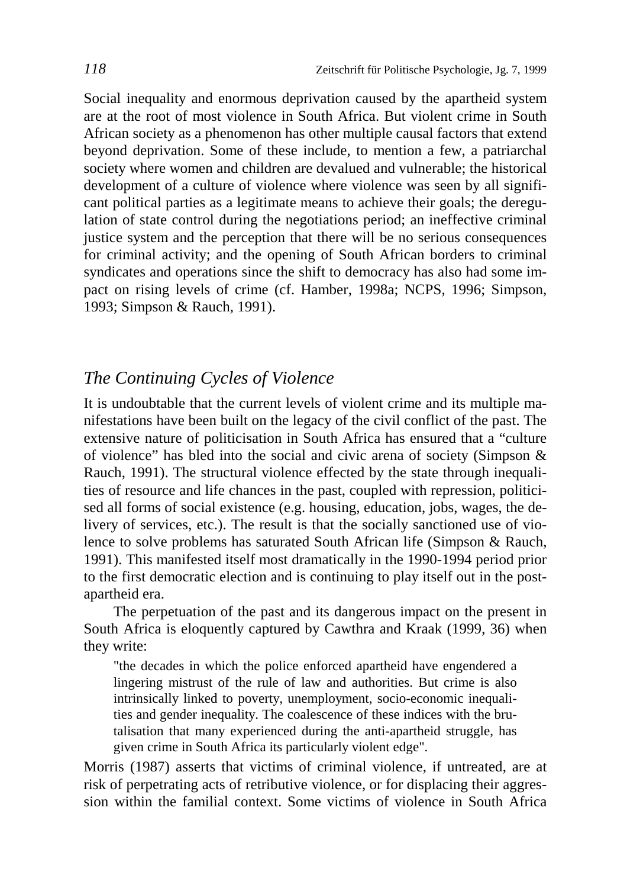Social inequality and enormous deprivation caused by the apartheid system are at the root of most violence in South Africa. But violent crime in South African society as a phenomenon has other multiple causal factors that extend beyond deprivation. Some of these include, to mention a few, a patriarchal society where women and children are devalued and vulnerable; the historical development of a culture of violence where violence was seen by all significant political parties as a legitimate means to achieve their goals; the deregulation of state control during the negotiations period; an ineffective criminal justice system and the perception that there will be no serious consequences for criminal activity; and the opening of South African borders to criminal syndicates and operations since the shift to democracy has also had some impact on rising levels of crime (cf. Hamber, 1998a; NCPS, 1996; Simpson, 1993; Simpson & Rauch, 1991).

# *The Continuing Cycles of Violence*

It is undoubtable that the current levels of violent crime and its multiple manifestations have been built on the legacy of the civil conflict of the past. The extensive nature of politicisation in South Africa has ensured that a "culture of violence" has bled into the social and civic arena of society (Simpson & Rauch, 1991). The structural violence effected by the state through inequalities of resource and life chances in the past, coupled with repression, politicised all forms of social existence (e.g. housing, education, jobs, wages, the delivery of services, etc.). The result is that the socially sanctioned use of violence to solve problems has saturated South African life (Simpson & Rauch, 1991). This manifested itself most dramatically in the 1990-1994 period prior to the first democratic election and is continuing to play itself out in the postapartheid era.

The perpetuation of the past and its dangerous impact on the present in South Africa is eloquently captured by Cawthra and Kraak (1999, 36) when they write:

"the decades in which the police enforced apartheid have engendered a lingering mistrust of the rule of law and authorities. But crime is also intrinsically linked to poverty, unemployment, socio-economic inequalities and gender inequality. The coalescence of these indices with the brutalisation that many experienced during the anti-apartheid struggle, has given crime in South Africa its particularly violent edge".

Morris (1987) asserts that victims of criminal violence, if untreated, are at risk of perpetrating acts of retributive violence, or for displacing their aggression within the familial context. Some victims of violence in South Africa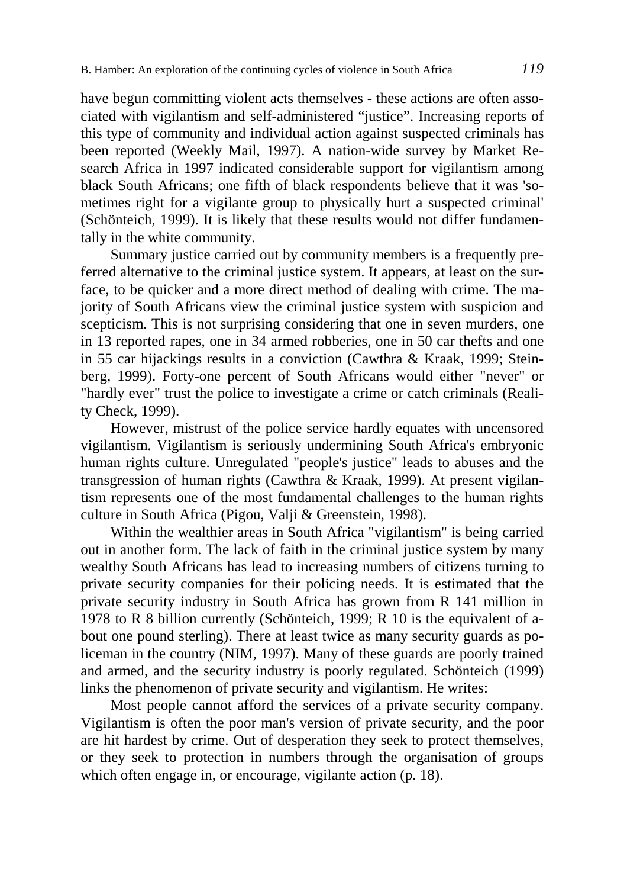have begun committing violent acts themselves - these actions are often associated with vigilantism and self-administered "justice". Increasing reports of this type of community and individual action against suspected criminals has been reported (Weekly Mail, 1997). A nation-wide survey by Market Research Africa in 1997 indicated considerable support for vigilantism among black South Africans; one fifth of black respondents believe that it was 'sometimes right for a vigilante group to physically hurt a suspected criminal' (Schönteich, 1999). It is likely that these results would not differ fundamentally in the white community.

Summary justice carried out by community members is a frequently preferred alternative to the criminal justice system. It appears, at least on the surface, to be quicker and a more direct method of dealing with crime. The majority of South Africans view the criminal justice system with suspicion and scepticism. This is not surprising considering that one in seven murders, one in 13 reported rapes, one in 34 armed robberies, one in 50 car thefts and one in 55 car hijackings results in a conviction (Cawthra & Kraak, 1999; Steinberg, 1999). Forty-one percent of South Africans would either "never" or "hardly ever" trust the police to investigate a crime or catch criminals (Reality Check, 1999).

However, mistrust of the police service hardly equates with uncensored vigilantism. Vigilantism is seriously undermining South Africa's embryonic human rights culture. Unregulated "people's justice" leads to abuses and the transgression of human rights (Cawthra & Kraak, 1999). At present vigilantism represents one of the most fundamental challenges to the human rights culture in South Africa (Pigou, Valji & Greenstein, 1998).

Within the wealthier areas in South Africa "vigilantism" is being carried out in another form. The lack of faith in the criminal justice system by many wealthy South Africans has lead to increasing numbers of citizens turning to private security companies for their policing needs. It is estimated that the private security industry in South Africa has grown from R 141 million in 1978 to R 8 billion currently (Schönteich, 1999; R 10 is the equivalent of about one pound sterling). There at least twice as many security guards as policeman in the country (NIM, 1997). Many of these guards are poorly trained and armed, and the security industry is poorly regulated. Schönteich (1999) links the phenomenon of private security and vigilantism. He writes:

Most people cannot afford the services of a private security company. Vigilantism is often the poor man's version of private security, and the poor are hit hardest by crime. Out of desperation they seek to protect themselves, or they seek to protection in numbers through the organisation of groups which often engage in, or encourage, vigilante action (p. 18).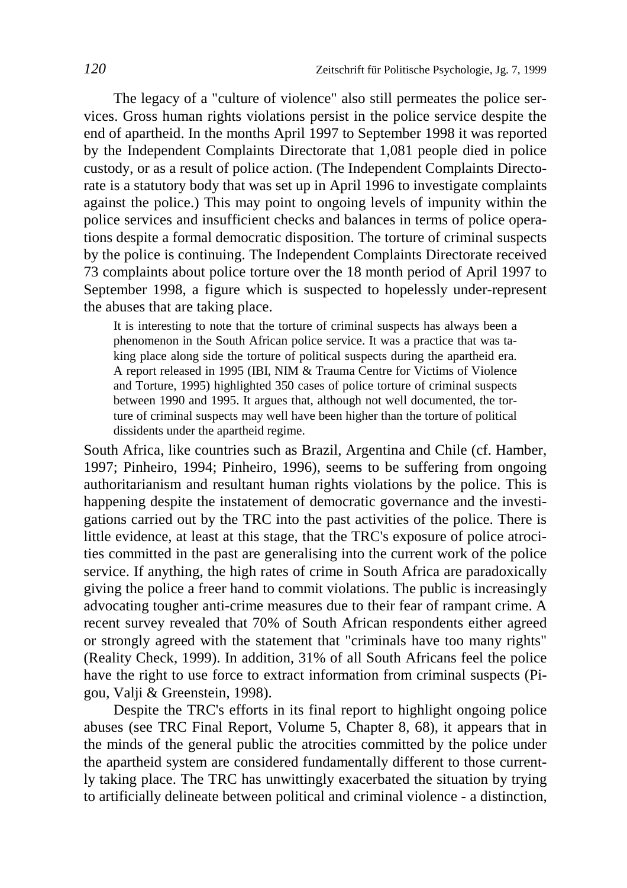The legacy of a "culture of violence" also still permeates the police services. Gross human rights violations persist in the police service despite the end of apartheid. In the months April 1997 to September 1998 it was reported by the Independent Complaints Directorate that 1,081 people died in police custody, or as a result of police action. (The Independent Complaints Directorate is a statutory body that was set up in April 1996 to investigate complaints against the police.) This may point to ongoing levels of impunity within the police services and insufficient checks and balances in terms of police operations despite a formal democratic disposition. The torture of criminal suspects by the police is continuing. The Independent Complaints Directorate received 73 complaints about police torture over the 18 month period of April 1997 to September 1998, a figure which is suspected to hopelessly under-represent the abuses that are taking place.

It is interesting to note that the torture of criminal suspects has always been a phenomenon in the South African police service. It was a practice that was taking place along side the torture of political suspects during the apartheid era. A report released in 1995 (IBI, NIM & Trauma Centre for Victims of Violence and Torture, 1995) highlighted 350 cases of police torture of criminal suspects between 1990 and 1995. It argues that, although not well documented, the torture of criminal suspects may well have been higher than the torture of political dissidents under the apartheid regime.

South Africa, like countries such as Brazil, Argentina and Chile (cf. Hamber, 1997; Pinheiro, 1994; Pinheiro, 1996), seems to be suffering from ongoing authoritarianism and resultant human rights violations by the police. This is happening despite the instatement of democratic governance and the investigations carried out by the TRC into the past activities of the police. There is little evidence, at least at this stage, that the TRC's exposure of police atrocities committed in the past are generalising into the current work of the police service. If anything, the high rates of crime in South Africa are paradoxically giving the police a freer hand to commit violations. The public is increasingly advocating tougher anti-crime measures due to their fear of rampant crime. A recent survey revealed that 70% of South African respondents either agreed or strongly agreed with the statement that "criminals have too many rights" (Reality Check, 1999). In addition, 31% of all South Africans feel the police have the right to use force to extract information from criminal suspects (Pigou, Valji & Greenstein, 1998).

Despite the TRC's efforts in its final report to highlight ongoing police abuses (see TRC Final Report, Volume 5, Chapter 8, 68), it appears that in the minds of the general public the atrocities committed by the police under the apartheid system are considered fundamentally different to those currently taking place. The TRC has unwittingly exacerbated the situation by trying to artificially delineate between political and criminal violence - a distinction,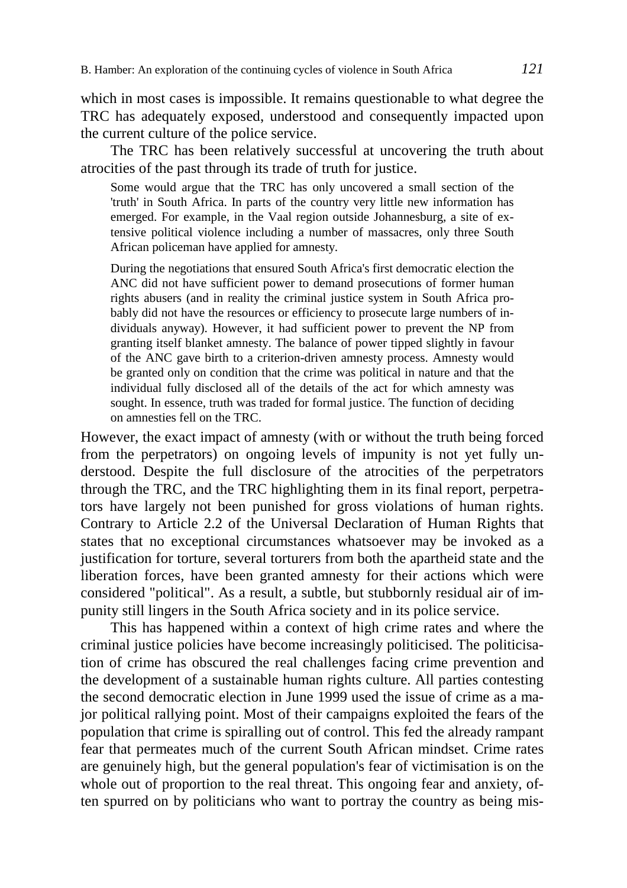which in most cases is impossible. It remains questionable to what degree the TRC has adequately exposed, understood and consequently impacted upon the current culture of the police service.

The TRC has been relatively successful at uncovering the truth about atrocities of the past through its trade of truth for justice.

Some would argue that the TRC has only uncovered a small section of the 'truth' in South Africa. In parts of the country very little new information has emerged. For example, in the Vaal region outside Johannesburg, a site of extensive political violence including a number of massacres, only three South African policeman have applied for amnesty.

During the negotiations that ensured South Africa's first democratic election the ANC did not have sufficient power to demand prosecutions of former human rights abusers (and in reality the criminal justice system in South Africa probably did not have the resources or efficiency to prosecute large numbers of individuals anyway). However, it had sufficient power to prevent the NP from granting itself blanket amnesty. The balance of power tipped slightly in favour of the ANC gave birth to a criterion-driven amnesty process. Amnesty would be granted only on condition that the crime was political in nature and that the individual fully disclosed all of the details of the act for which amnesty was sought. In essence, truth was traded for formal justice. The function of deciding on amnesties fell on the TRC.

However, the exact impact of amnesty (with or without the truth being forced from the perpetrators) on ongoing levels of impunity is not yet fully understood. Despite the full disclosure of the atrocities of the perpetrators through the TRC, and the TRC highlighting them in its final report, perpetrators have largely not been punished for gross violations of human rights. Contrary to Article 2.2 of the Universal Declaration of Human Rights that states that no exceptional circumstances whatsoever may be invoked as a justification for torture, several torturers from both the apartheid state and the liberation forces, have been granted amnesty for their actions which were considered "political". As a result, a subtle, but stubbornly residual air of impunity still lingers in the South Africa society and in its police service.

This has happened within a context of high crime rates and where the criminal justice policies have become increasingly politicised. The politicisation of crime has obscured the real challenges facing crime prevention and the development of a sustainable human rights culture. All parties contesting the second democratic election in June 1999 used the issue of crime as a major political rallying point. Most of their campaigns exploited the fears of the population that crime is spiralling out of control. This fed the already rampant fear that permeates much of the current South African mindset. Crime rates are genuinely high, but the general population's fear of victimisation is on the whole out of proportion to the real threat. This ongoing fear and anxiety, often spurred on by politicians who want to portray the country as being mis-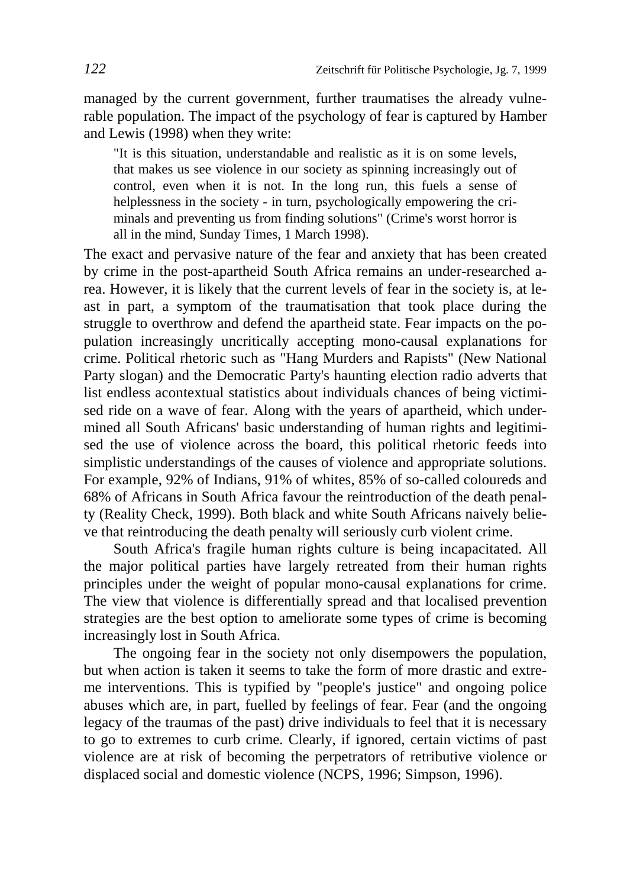managed by the current government, further traumatises the already vulnerable population. The impact of the psychology of fear is captured by Hamber and Lewis (1998) when they write:

"It is this situation, understandable and realistic as it is on some levels, that makes us see violence in our society as spinning increasingly out of control, even when it is not. In the long run, this fuels a sense of helplessness in the society - in turn, psychologically empowering the criminals and preventing us from finding solutions" (Crime's worst horror is all in the mind, Sunday Times, 1 March 1998).

The exact and pervasive nature of the fear and anxiety that has been created by crime in the post-apartheid South Africa remains an under-researched area. However, it is likely that the current levels of fear in the society is, at least in part, a symptom of the traumatisation that took place during the struggle to overthrow and defend the apartheid state. Fear impacts on the population increasingly uncritically accepting mono-causal explanations for crime. Political rhetoric such as "Hang Murders and Rapists" (New National Party slogan) and the Democratic Party's haunting election radio adverts that list endless acontextual statistics about individuals chances of being victimised ride on a wave of fear. Along with the years of apartheid, which undermined all South Africans' basic understanding of human rights and legitimised the use of violence across the board, this political rhetoric feeds into simplistic understandings of the causes of violence and appropriate solutions. For example, 92% of Indians, 91% of whites, 85% of so-called coloureds and 68% of Africans in South Africa favour the reintroduction of the death penalty (Reality Check, 1999). Both black and white South Africans naively believe that reintroducing the death penalty will seriously curb violent crime.

South Africa's fragile human rights culture is being incapacitated. All the major political parties have largely retreated from their human rights principles under the weight of popular mono-causal explanations for crime. The view that violence is differentially spread and that localised prevention strategies are the best option to ameliorate some types of crime is becoming increasingly lost in South Africa.

The ongoing fear in the society not only disempowers the population, but when action is taken it seems to take the form of more drastic and extreme interventions. This is typified by "people's justice" and ongoing police abuses which are, in part, fuelled by feelings of fear. Fear (and the ongoing legacy of the traumas of the past) drive individuals to feel that it is necessary to go to extremes to curb crime. Clearly, if ignored, certain victims of past violence are at risk of becoming the perpetrators of retributive violence or displaced social and domestic violence (NCPS, 1996; Simpson, 1996).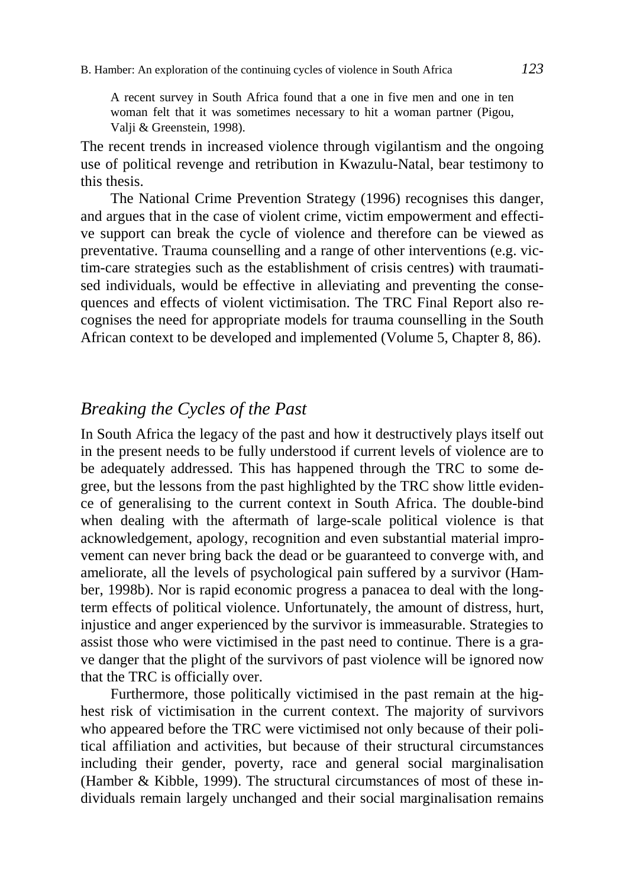A recent survey in South Africa found that a one in five men and one in ten woman felt that it was sometimes necessary to hit a woman partner (Pigou, Valji & Greenstein, 1998).

The recent trends in increased violence through vigilantism and the ongoing use of political revenge and retribution in Kwazulu-Natal, bear testimony to this thesis.

The National Crime Prevention Strategy (1996) recognises this danger, and argues that in the case of violent crime, victim empowerment and effective support can break the cycle of violence and therefore can be viewed as preventative. Trauma counselling and a range of other interventions (e.g. victim-care strategies such as the establishment of crisis centres) with traumatised individuals, would be effective in alleviating and preventing the consequences and effects of violent victimisation. The TRC Final Report also recognises the need for appropriate models for trauma counselling in the South African context to be developed and implemented (Volume 5, Chapter 8, 86).

### *Breaking the Cycles of the Past*

In South Africa the legacy of the past and how it destructively plays itself out in the present needs to be fully understood if current levels of violence are to be adequately addressed. This has happened through the TRC to some degree, but the lessons from the past highlighted by the TRC show little evidence of generalising to the current context in South Africa. The double-bind when dealing with the aftermath of large-scale political violence is that acknowledgement, apology, recognition and even substantial material improvement can never bring back the dead or be guaranteed to converge with, and ameliorate, all the levels of psychological pain suffered by a survivor (Hamber, 1998b). Nor is rapid economic progress a panacea to deal with the longterm effects of political violence. Unfortunately, the amount of distress, hurt, injustice and anger experienced by the survivor is immeasurable. Strategies to assist those who were victimised in the past need to continue. There is a grave danger that the plight of the survivors of past violence will be ignored now that the TRC is officially over.

Furthermore, those politically victimised in the past remain at the highest risk of victimisation in the current context. The majority of survivors who appeared before the TRC were victimised not only because of their political affiliation and activities, but because of their structural circumstances including their gender, poverty, race and general social marginalisation (Hamber & Kibble, 1999). The structural circumstances of most of these individuals remain largely unchanged and their social marginalisation remains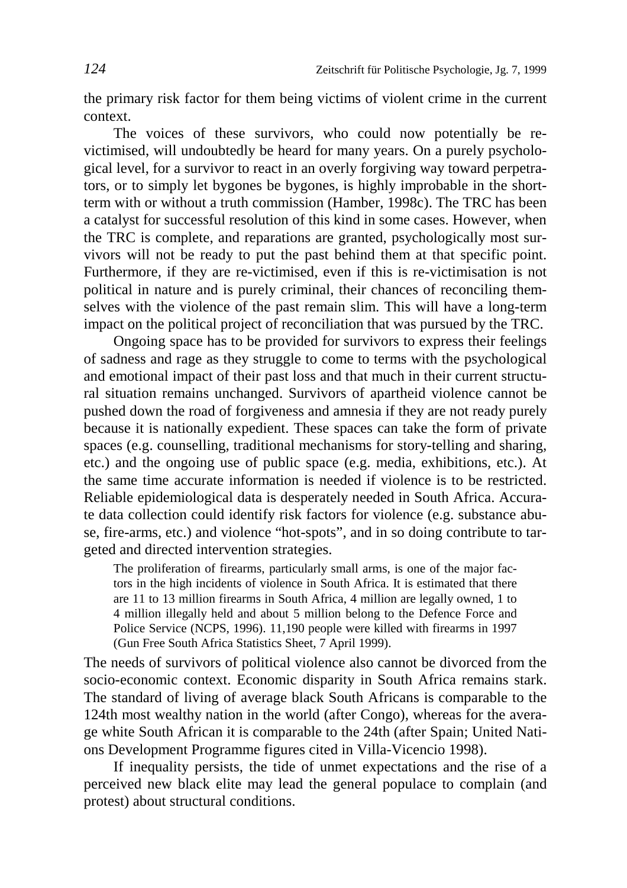the primary risk factor for them being victims of violent crime in the current context.

The voices of these survivors, who could now potentially be revictimised, will undoubtedly be heard for many years. On a purely psychological level, for a survivor to react in an overly forgiving way toward perpetrators, or to simply let bygones be bygones, is highly improbable in the shortterm with or without a truth commission (Hamber, 1998c). The TRC has been a catalyst for successful resolution of this kind in some cases. However, when the TRC is complete, and reparations are granted, psychologically most survivors will not be ready to put the past behind them at that specific point. Furthermore, if they are re-victimised, even if this is re-victimisation is not political in nature and is purely criminal, their chances of reconciling themselves with the violence of the past remain slim. This will have a long-term impact on the political project of reconciliation that was pursued by the TRC.

Ongoing space has to be provided for survivors to express their feelings of sadness and rage as they struggle to come to terms with the psychological and emotional impact of their past loss and that much in their current structural situation remains unchanged. Survivors of apartheid violence cannot be pushed down the road of forgiveness and amnesia if they are not ready purely because it is nationally expedient. These spaces can take the form of private spaces (e.g. counselling, traditional mechanisms for story-telling and sharing, etc.) and the ongoing use of public space (e.g. media, exhibitions, etc.). At the same time accurate information is needed if violence is to be restricted. Reliable epidemiological data is desperately needed in South Africa. Accurate data collection could identify risk factors for violence (e.g. substance abuse, fire-arms, etc.) and violence "hot-spots", and in so doing contribute to targeted and directed intervention strategies.

The proliferation of firearms, particularly small arms, is one of the major factors in the high incidents of violence in South Africa. It is estimated that there are 11 to 13 million firearms in South Africa, 4 million are legally owned, 1 to 4 million illegally held and about 5 million belong to the Defence Force and Police Service (NCPS, 1996). 11,190 people were killed with firearms in 1997 (Gun Free South Africa Statistics Sheet, 7 April 1999).

The needs of survivors of political violence also cannot be divorced from the socio-economic context. Economic disparity in South Africa remains stark. The standard of living of average black South Africans is comparable to the 124th most wealthy nation in the world (after Congo), whereas for the average white South African it is comparable to the 24th (after Spain; United Nations Development Programme figures cited in Villa-Vicencio 1998).

If inequality persists, the tide of unmet expectations and the rise of a perceived new black elite may lead the general populace to complain (and protest) about structural conditions.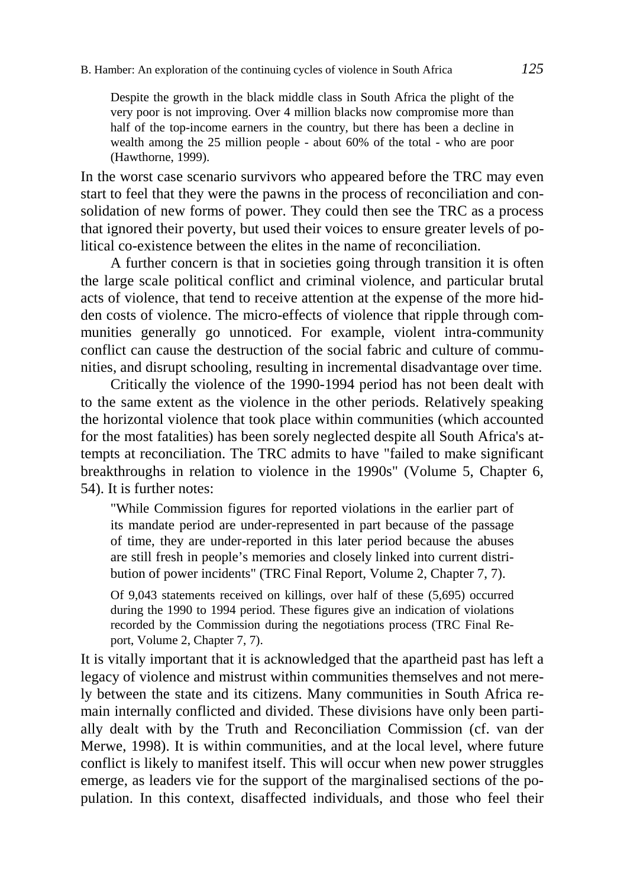Despite the growth in the black middle class in South Africa the plight of the very poor is not improving. Over 4 million blacks now compromise more than half of the top-income earners in the country, but there has been a decline in wealth among the 25 million people - about 60% of the total - who are poor (Hawthorne, 1999).

In the worst case scenario survivors who appeared before the TRC may even start to feel that they were the pawns in the process of reconciliation and consolidation of new forms of power. They could then see the TRC as a process that ignored their poverty, but used their voices to ensure greater levels of political co-existence between the elites in the name of reconciliation.

A further concern is that in societies going through transition it is often the large scale political conflict and criminal violence, and particular brutal acts of violence, that tend to receive attention at the expense of the more hidden costs of violence. The micro-effects of violence that ripple through communities generally go unnoticed. For example, violent intra-community conflict can cause the destruction of the social fabric and culture of communities, and disrupt schooling, resulting in incremental disadvantage over time.

Critically the violence of the 1990-1994 period has not been dealt with to the same extent as the violence in the other periods. Relatively speaking the horizontal violence that took place within communities (which accounted for the most fatalities) has been sorely neglected despite all South Africa's attempts at reconciliation. The TRC admits to have "failed to make significant breakthroughs in relation to violence in the 1990s" (Volume 5, Chapter 6, 54). It is further notes:

"While Commission figures for reported violations in the earlier part of its mandate period are under-represented in part because of the passage of time, they are under-reported in this later period because the abuses are still fresh in people's memories and closely linked into current distribution of power incidents" (TRC Final Report, Volume 2, Chapter 7, 7).

Of 9,043 statements received on killings, over half of these (5,695) occurred during the 1990 to 1994 period. These figures give an indication of violations recorded by the Commission during the negotiations process (TRC Final Report, Volume 2, Chapter 7, 7).

It is vitally important that it is acknowledged that the apartheid past has left a legacy of violence and mistrust within communities themselves and not merely between the state and its citizens. Many communities in South Africa remain internally conflicted and divided. These divisions have only been partially dealt with by the Truth and Reconciliation Commission (cf. van der Merwe, 1998). It is within communities, and at the local level, where future conflict is likely to manifest itself. This will occur when new power struggles emerge, as leaders vie for the support of the marginalised sections of the population. In this context, disaffected individuals, and those who feel their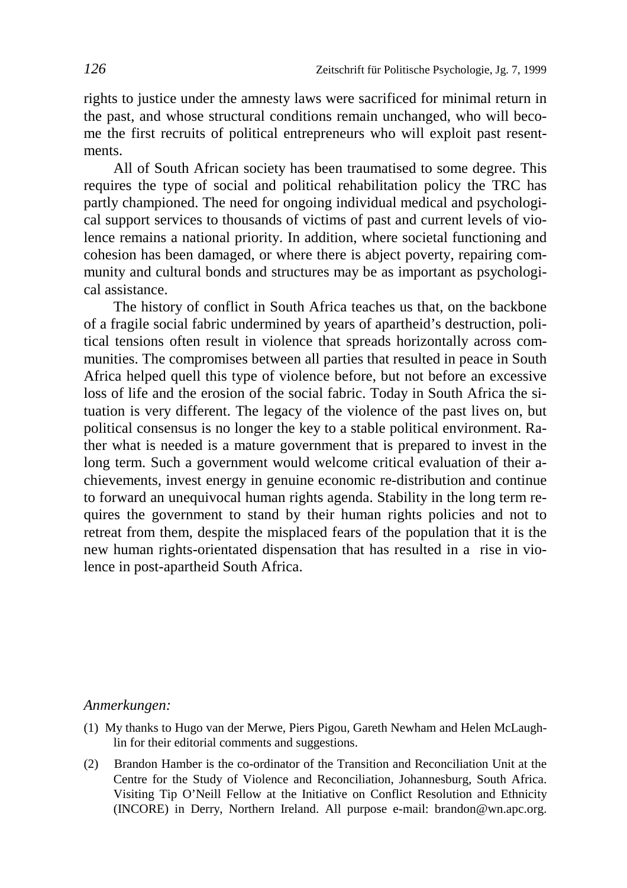rights to justice under the amnesty laws were sacrificed for minimal return in the past, and whose structural conditions remain unchanged, who will become the first recruits of political entrepreneurs who will exploit past resentments.

All of South African society has been traumatised to some degree. This requires the type of social and political rehabilitation policy the TRC has partly championed. The need for ongoing individual medical and psychological support services to thousands of victims of past and current levels of violence remains a national priority. In addition, where societal functioning and cohesion has been damaged, or where there is abject poverty, repairing community and cultural bonds and structures may be as important as psychological assistance.

The history of conflict in South Africa teaches us that, on the backbone of a fragile social fabric undermined by years of apartheid's destruction, political tensions often result in violence that spreads horizontally across communities. The compromises between all parties that resulted in peace in South Africa helped quell this type of violence before, but not before an excessive loss of life and the erosion of the social fabric. Today in South Africa the situation is very different. The legacy of the violence of the past lives on, but political consensus is no longer the key to a stable political environment. Rather what is needed is a mature government that is prepared to invest in the long term. Such a government would welcome critical evaluation of their achievements, invest energy in genuine economic re-distribution and continue to forward an unequivocal human rights agenda. Stability in the long term requires the government to stand by their human rights policies and not to retreat from them, despite the misplaced fears of the population that it is the new human rights-orientated dispensation that has resulted in a rise in violence in post-apartheid South Africa.

#### *Anmerkungen:*

- (1) My thanks to Hugo van der Merwe, Piers Pigou, Gareth Newham and Helen McLaughlin for their editorial comments and suggestions.
- (2) Brandon Hamber is the co-ordinator of the Transition and Reconciliation Unit at the Centre for the Study of Violence and Reconciliation, Johannesburg, South Africa. Visiting Tip O'Neill Fellow at the Initiative on Conflict Resolution and Ethnicity (INCORE) in Derry, Northern Ireland. All purpose e-mail: brandon@wn.apc.org.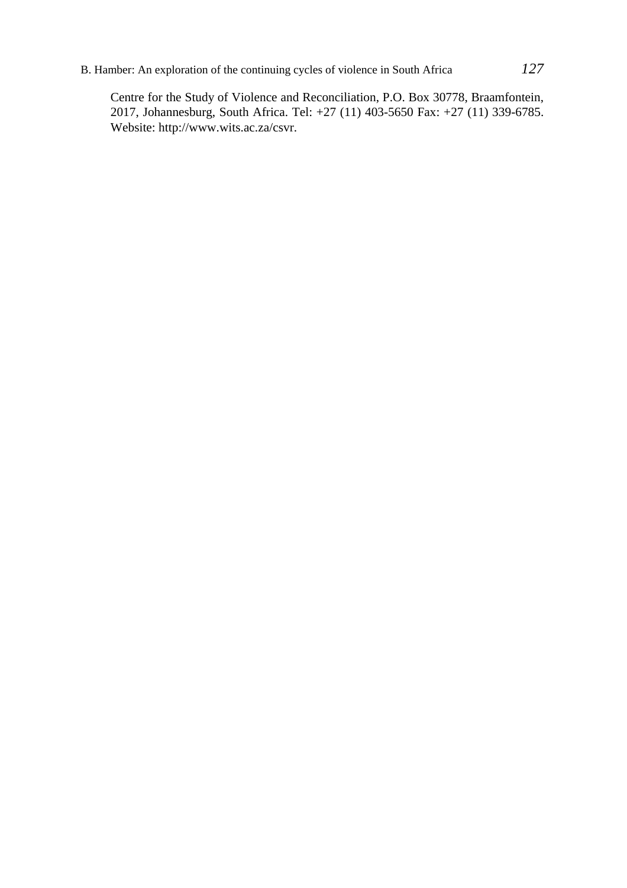## B. Hamber: An exploration of the continuing cycles of violence in South Africa *127*

Centre for the Study of Violence and Reconciliation, P.O. Box 30778, Braamfontein, 2017, Johannesburg, South Africa. Tel: +27 (11) 403-5650 Fax: +27 (11) 339-6785. Website: http://www.wits.ac.za/csvr.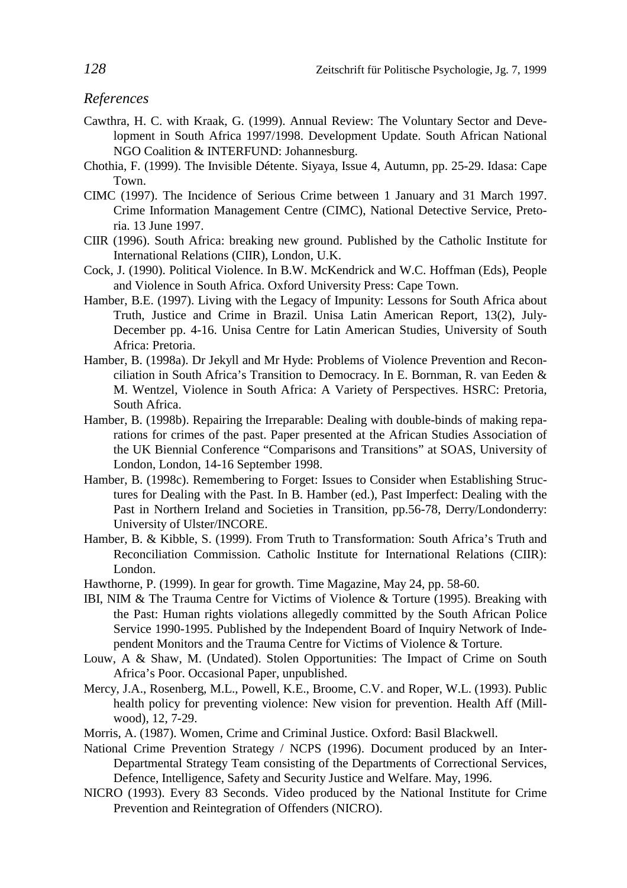### *References*

- Cawthra, H. C. with Kraak, G. (1999). Annual Review: The Voluntary Sector and Development in South Africa 1997/1998. Development Update. South African National NGO Coalition & INTERFUND: Johannesburg.
- Chothia, F. (1999). The Invisible Détente. Siyaya, Issue 4, Autumn, pp. 25-29. Idasa: Cape Town.
- CIMC (1997). The Incidence of Serious Crime between 1 January and 31 March 1997. Crime Information Management Centre (CIMC), National Detective Service, Pretoria. 13 June 1997.
- CIIR (1996). South Africa: breaking new ground. Published by the Catholic Institute for International Relations (CIIR), London, U.K.
- Cock, J. (1990). Political Violence. In B.W. McKendrick and W.C. Hoffman (Eds), People and Violence in South Africa. Oxford University Press: Cape Town.
- Hamber, B.E. (1997). Living with the Legacy of Impunity: Lessons for South Africa about Truth, Justice and Crime in Brazil. Unisa Latin American Report, 13(2), July-December pp. 4-16. Unisa Centre for Latin American Studies, University of South Africa: Pretoria.
- Hamber, B. (1998a). Dr Jekyll and Mr Hyde: Problems of Violence Prevention and Reconciliation in South Africa's Transition to Democracy. In E. Bornman, R. van Eeden & M. Wentzel, Violence in South Africa: A Variety of Perspectives. HSRC: Pretoria, South Africa.
- Hamber, B. (1998b). Repairing the Irreparable: Dealing with double-binds of making reparations for crimes of the past. Paper presented at the African Studies Association of the UK Biennial Conference "Comparisons and Transitions" at SOAS, University of London, London, 14-16 September 1998.
- Hamber, B. (1998c). Remembering to Forget: Issues to Consider when Establishing Structures for Dealing with the Past. In B. Hamber (ed.), Past Imperfect: Dealing with the Past in Northern Ireland and Societies in Transition, pp.56-78, Derry/Londonderry: University of Ulster/INCORE.
- Hamber, B. & Kibble, S. (1999). From Truth to Transformation: South Africa's Truth and Reconciliation Commission. Catholic Institute for International Relations (CIIR): London.
- Hawthorne, P. (1999). In gear for growth. Time Magazine, May 24, pp. 58-60.
- IBI, NIM & The Trauma Centre for Victims of Violence & Torture (1995). Breaking with the Past: Human rights violations allegedly committed by the South African Police Service 1990-1995. Published by the Independent Board of Inquiry Network of Independent Monitors and the Trauma Centre for Victims of Violence & Torture.
- Louw, A & Shaw, M. (Undated). Stolen Opportunities: The Impact of Crime on South Africa's Poor. Occasional Paper, unpublished.
- Mercy, J.A., Rosenberg, M.L., Powell, K.E., Broome, C.V. and Roper, W.L. (1993). Public health policy for preventing violence: New vision for prevention. Health Aff (Millwood), 12, 7-29.
- Morris, A. (1987). Women, Crime and Criminal Justice. Oxford: Basil Blackwell.
- National Crime Prevention Strategy / NCPS (1996). Document produced by an Inter-Departmental Strategy Team consisting of the Departments of Correctional Services, Defence, Intelligence, Safety and Security Justice and Welfare. May, 1996.
- NICRO (1993). Every 83 Seconds. Video produced by the National Institute for Crime Prevention and Reintegration of Offenders (NICRO).